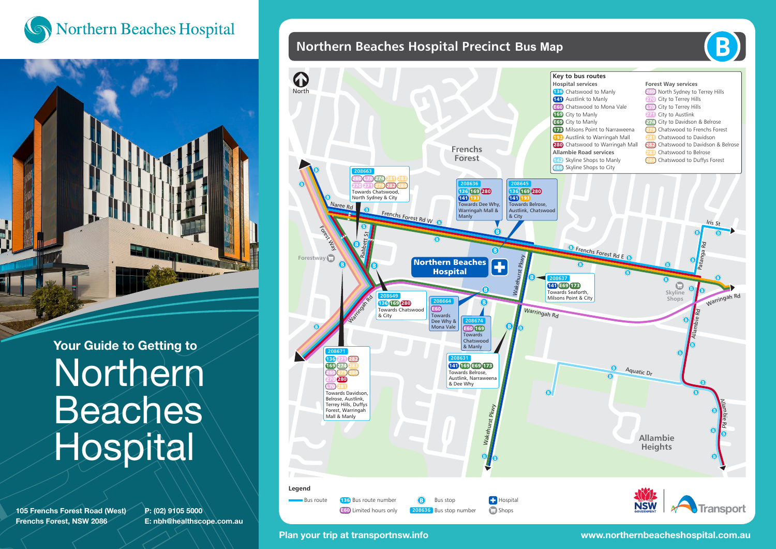



Your Guide to Getting to **Northern Beaches** Hospital

105 Frenchs Forest Road (West) Frenchs Forest, NSW 2086

P: (02) 9105 5000 E: nbh@healthscope.com.au





B